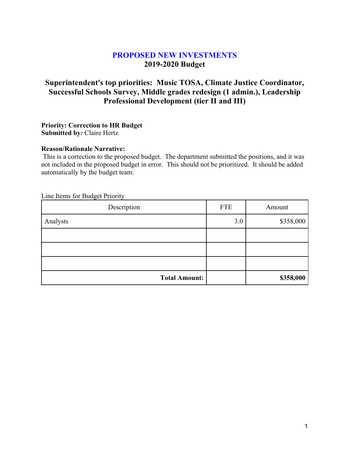# **PROPOSED NEW INVESTMENTS 2019-2020 Budget**

# **Superintendent's top priorities: Music TOSA, Climate Justice Coordinator, Successful Schools Survey, Middle grades redesign (1 admin.), Leadership Professional Development (tier II and III)**

#### **Priority: Correction to HR Budget Submitted by***:* Claire Hertz

#### **Reason/Rationale Narrative:**

This is a correction to the proposed budget. The department submitted the positions, and it was not included in the proposed budget in error. This should not be prioritized. It should be added automatically by the budget team.

| Description          | <b>FTE</b> | Amount    |
|----------------------|------------|-----------|
| Analysts             | 3.0        | \$358,000 |
|                      |            |           |
|                      |            |           |
|                      |            |           |
| <b>Total Amount:</b> |            | \$358,000 |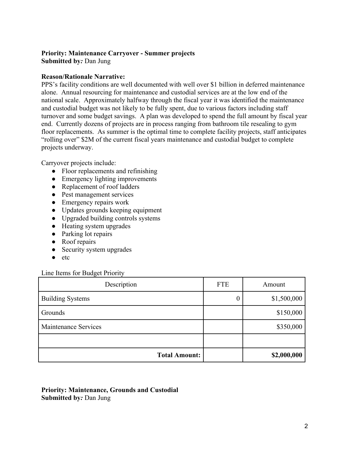# **Priority: Maintenance Carryover - Summer projects**

**Submitted by***:* Dan Jung

#### **Reason/Rationale Narrative:**

PPS's facility conditions are well documented with well over \$1 billion in deferred maintenance alone. Annual resourcing for maintenance and custodial services are at the low end of the national scale. Approximately halfway through the fiscal year it was identified the maintenance and custodial budget was not likely to be fully spent, due to various factors including staff turnover and some budget savings. A plan was developed to spend the full amount by fiscal year end. Currently dozens of projects are in process ranging from bathroom tile resealing to gym floor replacements. As summer is the optimal time to complete facility projects, staff anticipates "rolling over" \$2M of the current fiscal years maintenance and custodial budget to complete projects underway.

Carryover projects include:

- Floor replacements and refinishing
- Emergency lighting improvements
- Replacement of roof ladders
- Pest management services
- Emergency repairs work
- Updates grounds keeping equipment
- Upgraded building controls systems
- Heating system upgrades
- Parking lot repairs
- Roof repairs
- Security system upgrades
- etc

#### Line Items for Budget Priority

| Description             | <b>FTE</b> | Amount      |
|-------------------------|------------|-------------|
| <b>Building Systems</b> | 0          | \$1,500,000 |
| Grounds                 |            | \$150,000   |
| Maintenance Services    |            | \$350,000   |
|                         |            |             |
| <b>Total Amount:</b>    |            | \$2,000,000 |

**Priority: Maintenance, Grounds and Custodial Submitted by***:* Dan Jung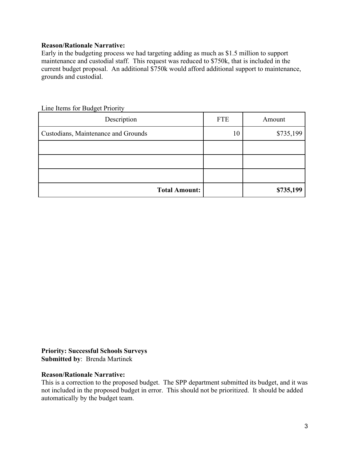#### **Reason/Rationale Narrative:**

Early in the budgeting process we had targeting adding as much as \$1.5 million to support maintenance and custodial staff. This request was reduced to \$750k, that is included in the current budget proposal. An additional \$750k would afford additional support to maintenance, grounds and custodial.

| Description                         | <b>FTE</b> | Amount    |
|-------------------------------------|------------|-----------|
| Custodians, Maintenance and Grounds | 10         | \$735,199 |
|                                     |            |           |
|                                     |            |           |
|                                     |            |           |
| <b>Total Amount:</b>                |            | \$735,199 |

Line Items for Budget Priority

**Priority: Successful Schools Surveys Submitted by**: Brenda Martinek

#### **Reason/Rationale Narrative:**

This is a correction to the proposed budget. The SPP department submitted its budget, and it was not included in the proposed budget in error. This should not be prioritized. It should be added automatically by the budget team.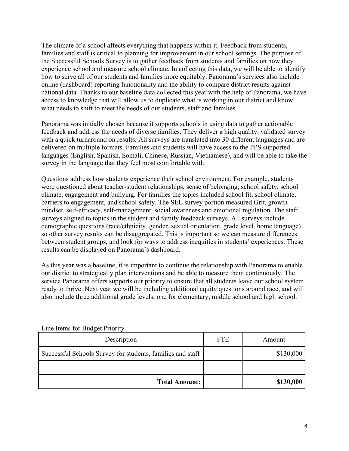The climate of a school affects everything that happens within it. Feedback from students, families and staff is critical to planning for improvement in our school settings. The purpose of the Successful Schools Survey is to gather feedback from students and families on how they experience school and measure school climate. In collecting this data, we will be able to identify how to serve all of our students and families more equitably. Panorama's services also include online (dashboard) reporting functionality and the ability to compare district results against national data. Thanks to our baseline data collected this year with the help of Panorama, we have access to knowledge that will allow us to duplicate what is working in our district and know what needs to shift to meet the needs of our students, staff and families.

Panorama was initially chosen because it supports schools in using data to gather actionable feedback and address the needs of diverse families. They deliver a high quality, validated survey with a quick turnaround on results. All surveys are translated into 30 different languages and are delivered on multiple formats. Families and students will have access to the PPS supported languages (English, Spanish, Somali, Chinese, Russian, Vietnamese), and will be able to take the survey in the language that they feel most comfortable with.

Questions address how students experience their school environment. For example, students were questioned about teacher-student relationships, sense of belonging, school safety, school climate, engagement and bullying. For families the topics included school fit, school climate, barriers to engagement, and school safety. The SEL survey portion measured Grit, growth mindset, self-efficacy, self-management, social awareness and emotional regulation. The staff surveys aligned to topics in the student and family feedback surveys. All surveys include demographic questions (race/ethnicity, gender, sexual orientation, grade level, home language) so other survey results can be disaggregated. This is important so we can measure differences between student groups, and look for ways to address inequities in students' experiences. These results can be displayed on Panorama's dashboard.

As this year was a baseline, it is important to continue the relationship with Panorama to enable our district to strategically plan interventions and be able to measure them continuously. The service Panorama offers supports our priority to ensure that all students leave our school system ready to thrive. Next year we will be including additional equity questions around race, and will also include three additional grade levels; one for elementary, middle school and high school.

| Description                                                | <b>FTE</b> | Amount    |
|------------------------------------------------------------|------------|-----------|
| Successful Schools Survey for students, families and staff |            | \$130,000 |
|                                                            |            |           |
| <b>Total Amount:</b>                                       |            | \$130,000 |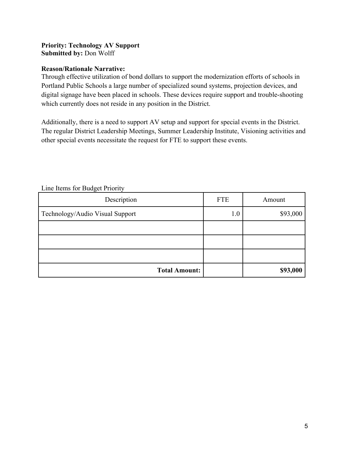## **Priority: Technology AV Support Submitted by:** Don Wolff

#### **Reason/Rationale Narrative:**

Through effective utilization of bond dollars to support the modernization efforts of schools in Portland Public Schools a large number of specialized sound systems, projection devices, and digital signage have been placed in schools. These devices require support and trouble-shooting which currently does not reside in any position in the District.

Additionally, there is a need to support AV setup and support for special events in the District. The regular District Leadership Meetings, Summer Leadership Institute, Visioning activities and other special events necessitate the request for FTE to support these events.

| Description                     | <b>FTE</b> | Amount   |
|---------------------------------|------------|----------|
| Technology/Audio Visual Support | 1.0        | \$93,000 |
|                                 |            |          |
|                                 |            |          |
|                                 |            |          |
| <b>Total Amount:</b>            |            | \$93,000 |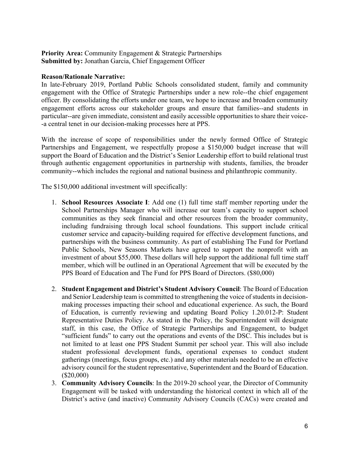**Priority Area: Community Engagement & Strategic Partnerships Submitted by:** Jonathan Garcia, Chief Engagement Officer

#### **Reason/Rationale Narrative:**

In late-February 2019, Portland Public Schools consolidated student, family and community engagement with the Office of Strategic Partnerships under a new role--the chief engagement officer. By consolidating the efforts under one team, we hope to increase and broaden community engagement efforts across our stakeholder groups and ensure that families--and students in particular--are given immediate, consistent and easily accessible opportunities to share their voice- -a central tenet in our decision-making processes here at PPS.

With the increase of scope of responsibilities under the newly formed Office of Strategic Partnerships and Engagement, we respectfully propose a \$150,000 budget increase that will support the Board of Education and the District's Senior Leadership effort to build relational trust through authentic engagement opportunities in partnership with students, families, the broader community--which includes the regional and national business and philanthropic community.

The \$150,000 additional investment will specifically:

- 1. **School Resources Associate I**: Add one (1) full time staff member reporting under the School Partnerships Manager who will increase our team's capacity to support school communities as they seek financial and other resources from the broader community, including fundraising through local school foundations. This support include critical customer service and capacity-building required for effective development functions, and partnerships with the business community. As part of establishing The Fund for Portland Public Schools, New Seasons Markets have agreed to support the nonprofit with an investment of about \$55,000. These dollars will help support the additional full time staff member, which will be outlined in an Operational Agreement that will be executed by the PPS Board of Education and The Fund for PPS Board of Directors. (\$80,000)
- 2. **Student Engagement and District's Student Advisory Council**: The Board of Education and Senior Leadership team is committed to strengthening the voice of students in decisionmaking processes impacting their school and educational experience. As such, the Board of Education, is currently reviewing and updating Board Policy 1.20.012-P: Student Representative Duties Policy. As stated in the Policy, the Superintendent will designate staff, in this case, the Office of Strategic Partnerships and Engagement, to budget "sufficient funds" to carry out the operations and events of the DSC. This includes but is not limited to at least one PPS Student Summit per school year. This will also include student professional development funds, operational expenses to conduct student gatherings (meetings, focus groups, etc.) and any other materials needed to be an effective advisory council for the student representative, Superintendent and the Board of Education. (\$20,000)
- 3. **Community Advisory Councils**: In the 2019-20 school year, the Director of Community Engagement will be tasked with understanding the historical context in which all of the District's active (and inactive) Community Advisory Councils (CACs) were created and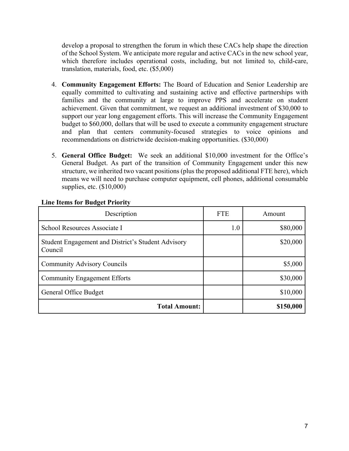develop a proposal to strengthen the forum in which these CACs help shape the direction of the School System. We anticipate more regular and active CACs in the new school year, which therefore includes operational costs, including, but not limited to, child-care, translation, materials, food, etc. (\$5,000)

- 4. **Community Engagement Efforts:** The Board of Education and Senior Leadership are equally committed to cultivating and sustaining active and effective partnerships with families and the community at large to improve PPS and accelerate on student achievement. Given that commitment, we request an additional investment of \$30,000 to support our year long engagement efforts. This will increase the Community Engagement budget to \$60,000, dollars that will be used to execute a community engagement structure and plan that centers community-focused strategies to voice opinions and recommendations on districtwide decision-making opportunities. (\$30,000)
- 5. **General Office Budget:** We seek an additional \$10,000 investment for the Office's General Budget. As part of the transition of Community Engagement under this new structure, we inherited two vacant positions (plus the proposed additional FTE here), which means we will need to purchase computer equipment, cell phones, additional consumable supplies, etc. (\$10,000)

| Description                                                   | <b>FTE</b> | Amount    |
|---------------------------------------------------------------|------------|-----------|
| School Resources Associate I                                  | 1.0        | \$80,000  |
| Student Engagement and District's Student Advisory<br>Council |            | \$20,000  |
| <b>Community Advisory Councils</b>                            |            | \$5,000   |
| <b>Community Engagement Efforts</b>                           |            | \$30,000  |
| General Office Budget                                         |            | \$10,000  |
| <b>Total Amount:</b>                                          |            | \$150,000 |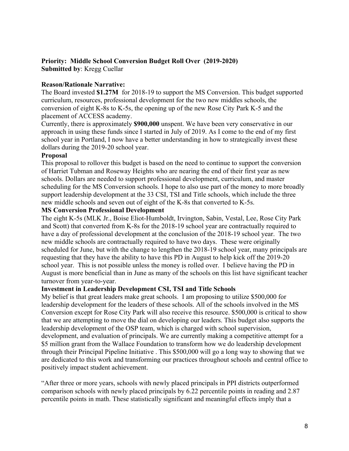## **Priority: Middle School Conversion Budget Roll Over (2019-2020) Submitted by**: Kregg Cuellar

## **Reason/Rationale Narrative:**

The Board invested **\$1.27M** for 2018-19 to support the MS Conversion. This budget supported curriculum, resources, professional development for the two new middles schools, the conversion of eight K-8s to K-5s, the opening up of the new Rose City Park K-5 and the placement of ACCESS academy.

Currently, there is approximately **\$900,000** unspent. We have been very conservative in our approach in using these funds since I started in July of 2019. As I come to the end of my first school year in Portland, I now have a better understanding in how to strategically invest these dollars during the 2019-20 school year.

## **Proposal**

This proposal to rollover this budget is based on the need to continue to support the conversion of Harriet Tubman and Roseway Heights who are nearing the end of their first year as new schools. Dollars are needed to support professional development, curriculum, and master scheduling for the MS Conversion schools. I hope to also use part of the money to more broadly support leadership development at the 33 CSI, TSI and Title schools, which include the three new middle schools and seven out of eight of the K-8s that converted to K-5s.

## **MS Conversion Professional Development**

The eight K-5s (MLK Jr., Boise Eliot-Humboldt, Irvington, Sabin, Vestal, Lee, Rose City Park and Scott) that converted from K-8s for the 2018-19 school year are contractually required to have a day of professional development at the conclusion of the 2018-19 school year. The two new middle schools are contractually required to have two days. These were originally scheduled for June, but with the change to lengthen the 2018-19 school year, many principals are requesting that they have the ability to have this PD in August to help kick off the 2019-20 school year. This is not possible unless the money is rolled over. I believe having the PD in August is more beneficial than in June as many of the schools on this list have significant teacher turnover from year-to-year.

## **Investment in Leadership Development CSI, TSI and Title Schools**

My belief is that great leaders make great schools. I am proposing to utilize \$500,000 for leadership development for the leaders of these schools. All of the schools involved in the MS Conversion except for Rose City Park will also receive this resource. \$500,000 is critical to show that we are attempting to move the dial on developing our leaders. This budget also supports the leadership development of the OSP team, which is charged with school supervision, development, and evaluation of principals. We are currently making a competitive attempt for a \$5 million grant from the Wallace Foundation to transform how we do leadership development through their Principal Pipeline Initiative . This \$500,000 will go a long way to showing that we are dedicated to this work and transforming our practices throughout schools and central office to positively impact student achievement.

"After three or more years, schools with newly placed principals in PPI districts outperformed comparison schools with newly placed principals by 6.22 percentile points in reading and 2.87 percentile points in math. These statistically significant and meaningful effects imply that a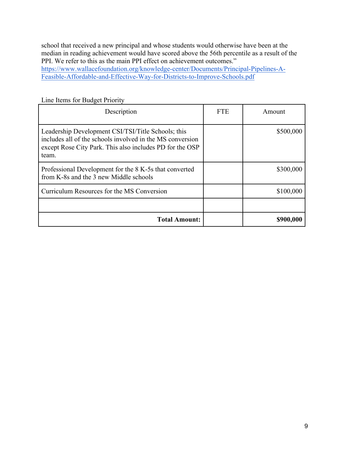school that received a new principal and whose students would otherwise have been at the median in reading achievement would have scored above the 56th percentile as a result of the PPI. We refer to this as the main PPI effect on achievement outcomes." https://www.wallacefoundation.org/knowledge-center/Documents/Principal-Pipelines-A-Feasible-Affordable-and-Effective-Way-for-Districts-to-Improve-Schools.pdf

| Description                                                                                                                                                                          | <b>FTE</b> | Amount    |
|--------------------------------------------------------------------------------------------------------------------------------------------------------------------------------------|------------|-----------|
| Leadership Development CSI/TSI/Title Schools; this<br>includes all of the schools involved in the MS conversion<br>except Rose City Park. This also includes PD for the OSP<br>team. |            | \$500,000 |
| Professional Development for the 8 K-5s that converted<br>from K-8s and the 3 new Middle schools                                                                                     |            | \$300,000 |
| Curriculum Resources for the MS Conversion                                                                                                                                           |            | \$100,000 |
|                                                                                                                                                                                      |            |           |
| <b>Total Amount:</b>                                                                                                                                                                 |            | \$900,000 |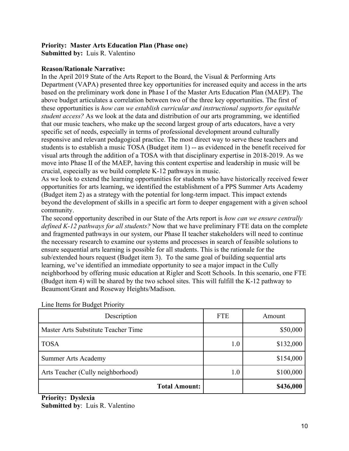## **Priority: Master Arts Education Plan (Phase one)**

**Submitted by:** Luis R. Valentino

#### **Reason/Rationale Narrative:**

In the April 2019 State of the Arts Report to the Board, the Visual & Performing Arts Department (VAPA) presented three key opportunities for increased equity and access in the arts based on the preliminary work done in Phase I of the Master Arts Education Plan (MAEP). The above budget articulates a correlation between two of the three key opportunities. The first of these opportunities is *how can we establish curricular and instructional supports for equitable student access?* As we look at the data and distribution of our arts programming, we identified that our music teachers, who make up the second largest group of arts educators, have a very specific set of needs, especially in terms of professional development around culturally responsive and relevant pedagogical practice. The most direct way to serve these teachers and students is to establish a music TOSA (Budget item 1) -- as evidenced in the benefit received for visual arts through the addition of a TOSA with that disciplinary expertise in 2018-2019. As we move into Phase II of the MAEP, having this content expertise and leadership in music will be crucial, especially as we build complete K-12 pathways in music.

As we look to extend the learning opportunities for students who have historically received fewer opportunities for arts learning, we identified the establishment of a PPS Summer Arts Academy (Budget item 2) as a strategy with the potential for long-term impact. This impact extends beyond the development of skills in a specific art form to deeper engagement with a given school community.

The second opportunity described in our State of the Arts report is *how can we ensure centrally defined K-12 pathways for all students?* Now that we have preliminary FTE data on the complete and fragmented pathways in our system, our Phase II teacher stakeholders will need to continue the necessary research to examine our systems and processes in search of feasible solutions to ensure sequential arts learning is possible for all students. This is the rationale for the sub/extended hours request (Budget item 3). To the same goal of building sequential arts learning, we've identified an immediate opportunity to see a major impact in the Cully neighborhood by offering music education at Rigler and Scott Schools. In this scenario, one FTE (Budget item 4) will be shared by the two school sites. This will fulfill the K-12 pathway to Beaumont/Grant and Roseway Heights/Madison.

| Description                         | <b>FTE</b> | Amount    |
|-------------------------------------|------------|-----------|
| Master Arts Substitute Teacher Time |            | \$50,000  |
| <b>TOSA</b>                         | 1.0        | \$132,000 |
| <b>Summer Arts Academy</b>          |            | \$154,000 |
| Arts Teacher (Cully neighborhood)   | $1.0\,$    | \$100,000 |
| <b>Total Amount:</b>                |            | \$436,000 |

Line Items for Budget Priority

**Priority: Dyslexia Submitted by**: Luis R. Valentino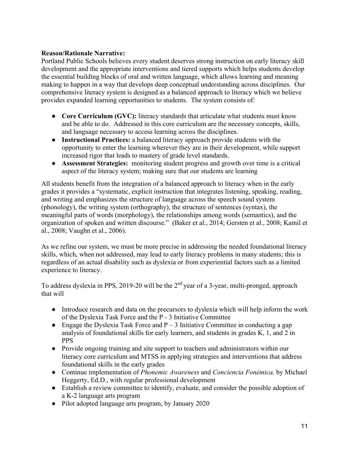## **Reason/Rationale Narrative:**

Portland Public Schools believes every student deserves strong instruction on early literacy skill development and the appropriate interventions and tiered supports which helps students develop the essential building blocks of oral and written language, which allows learning and meaning making to happen in a way that develops deep conceptual understanding across disciplines. Our comprehensive literacy system is designed as a balanced approach to literacy which we believe provides expanded learning opportunities to students. The system consists of:

- **Core Curriculum (GVC):** literacy standards that articulate what students must know and be able to do. Addressed in this core curriculum are the necessary concepts, skills, and language necessary to access learning across the disciplines.
- **Instructional Practices:** a balanced literacy approach provide students with the opportunity to enter the learning wherever they are in their development, while support increased rigor that leads to mastery of grade level standards.
- **Assessment Strategies:** monitoring student progress and growth over time is a critical aspect of the literacy system; making sure that our students are learning

All students benefit from the integration of a balanced approach to literacy when in the early grades it provides a "systematic, explicit instruction that integrates listening, speaking, reading, and writing and emphasizes the structure of language across the speech sound system (phonology), the writing system (orthography), the structure of sentences (syntax), the meaningful parts of words (morphology), the relationships among words (semantics), and the organization of spoken and written discourse." (Baker et al., 2014; Gersten et al., 2008; Kamil et al., 2008; Vaughn et al., 2006).

As we refine our system, we must be more precise in addressing the needed foundational literacy skills, which, when not addressed, may lead to early literacy problems in many students; this is regardless of an actual disability such as dyslexia or from experiential factors such as a limited experience to literacy.

To address dyslexia in PPS, 2019-20 will be the  $2<sup>nd</sup>$  year of a 3-year, multi-pronged, approach that will

- Introduce research and data on the precursors to dyslexia which will help inform the work of the Dyslexia Task Force and the P - 3 Initiative Committee
- Engage the Dyslexia Task Force and  $P 3$  Initiative Committee in conducting a gap analysis of foundational skills for early learners, and students in grades K, 1, and 2 in PPS
- Provide ongoing training and site support to teachers and administrators within our literacy core curriculum and MTSS in applying strategies and interventions that address foundational skills in the early grades
- Continue implementation of *Phonemic Awareness* and *Conciencia Fonémica,* by Michael Heggerty, Ed.D., with regular professional development
- Establish a review committee to identify, evaluate, and consider the possible adoption of a K-2 language arts program
- Pilot adopted language arts program, by January 2020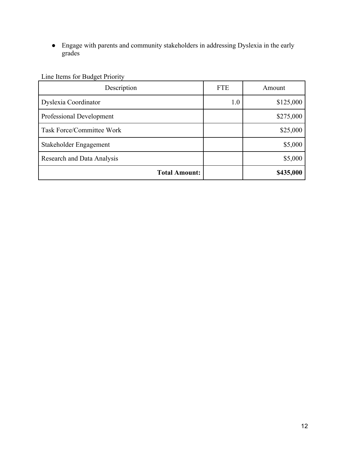● Engage with parents and community stakeholders in addressing Dyslexia in the early grades

| Description                       | <b>FTE</b> | Amount    |
|-----------------------------------|------------|-----------|
| Dyslexia Coordinator              | 1.0        | \$125,000 |
| Professional Development          |            | \$275,000 |
| Task Force/Committee Work         |            | \$25,000  |
| Stakeholder Engagement            |            | \$5,000   |
| <b>Research and Data Analysis</b> |            | \$5,000   |
| <b>Total Amount:</b>              |            | \$435,000 |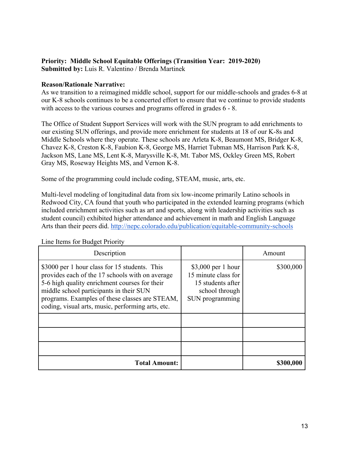#### **Priority: Middle School Equitable Offerings (Transition Year: 2019-2020) Submitted by:** Luis R. Valentino / Brenda Martinek

#### **Reason/Rationale Narrative:**

As we transition to a reimagined middle school, support for our middle-schools and grades 6-8 at our K-8 schools continues to be a concerted effort to ensure that we continue to provide students with access to the various courses and programs offered in grades  $6 - 8$ .

The Office of Student Support Services will work with the SUN program to add enrichments to our existing SUN offerings, and provide more enrichment for students at 18 of our K-8s and Middle Schools where they operate. These schools are Arleta K-8, Beaumont MS, Bridger K-8, Chavez K-8, Creston K-8, Faubion K-8, George MS, Harriet Tubman MS, Harrison Park K-8, Jackson MS, Lane MS, Lent K-8, Marysville K-8, Mt. Tabor MS, Ockley Green MS, Robert Gray MS, Roseway Heights MS, and Vernon K-8.

Some of the programming could include coding, STEAM, music, arts, etc.

Multi-level modeling of longitudinal data from six low-income primarily Latino schools in Redwood City, CA found that youth who participated in the extended learning programs (which included enrichment activities such as art and sports, along with leadership activities such as student council) exhibited higher attendance and achievement in math and English Language Arts than their peers did. http://nepc.colorado.edu/publication/equitable-community-schools

| Description                                                                                                                                                                                                                                                                                         |                                                                                                      | Amount    |
|-----------------------------------------------------------------------------------------------------------------------------------------------------------------------------------------------------------------------------------------------------------------------------------------------------|------------------------------------------------------------------------------------------------------|-----------|
| \$3000 per 1 hour class for 15 students. This<br>provides each of the 17 schools with on average<br>5-6 high quality enrichment courses for their<br>middle school participants in their SUN<br>programs. Examples of these classes are STEAM,<br>coding, visual arts, music, performing arts, etc. | $$3,000$ per 1 hour<br>15 minute class for<br>15 students after<br>school through<br>SUN programming | \$300,000 |
|                                                                                                                                                                                                                                                                                                     |                                                                                                      |           |
|                                                                                                                                                                                                                                                                                                     |                                                                                                      |           |
| <b>Total Amount:</b>                                                                                                                                                                                                                                                                                |                                                                                                      | \$300,000 |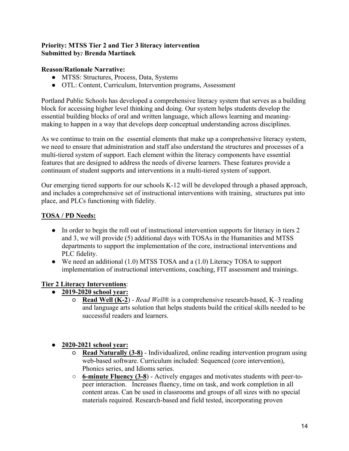## **Priority: MTSS Tier 2 and Tier 3 literacy intervention Submitted by***:* **Brenda Martinek**

## **Reason/Rationale Narrative:**

- MTSS: Structures, Process, Data, Systems
- OTL: Content, Curriculum, Intervention programs, Assessment

Portland Public Schools has developed a comprehensive literacy system that serves as a building block for accessing higher level thinking and doing. Our system helps students develop the essential building blocks of oral and written language, which allows learning and meaningmaking to happen in a way that develops deep conceptual understanding across disciplines.

As we continue to train on the essential elements that make up a comprehensive literacy system, we need to ensure that administration and staff also understand the structures and processes of a multi-tiered system of support. Each element within the literacy components have essential features that are designed to address the needs of diverse learners. These features provide a continuum of student supports and interventions in a multi-tiered system of support.

Our emerging tiered supports for our schools K-12 will be developed through a phased approach, and includes a comprehensive set of instructional interventions with training, structures put into place, and PLCs functioning with fidelity.

## **TOSA / PD Needs:**

- In order to begin the roll out of instructional intervention supports for literacy in tiers 2 and 3, we will provide (5) additional days with TOSAs in the Humanities and MTSS departments to support the implementation of the core, instructional interventions and PLC fidelity.
- We need an additional (1.0) MTSS TOSA and a (1.0) Literacy TOSA to support implementation of instructional interventions, coaching, FIT assessment and trainings.

## **Tier 2 Literacy Interventions**:

- **2019-2020 school year:** 
	- **Read Well (K-2**) *Read Well*® is a comprehensive research-based, K–3 reading and language arts solution that helps students build the critical skills needed to be successful readers and learners.

## ● **2020-2021 school year:**

- **Read Naturally (3-8)** Individualized, online reading intervention program using web-based software. Curriculum included: Sequenced (core intervention), Phonics series, and Idioms series.
- **6-minute Fluency (3-8**) Actively engages and motivates students with peer-topeer interaction. Increases fluency, time on task, and work completion in all content areas. Can be used in classrooms and groups of all sizes with no special materials required. Research-based and field tested, incorporating proven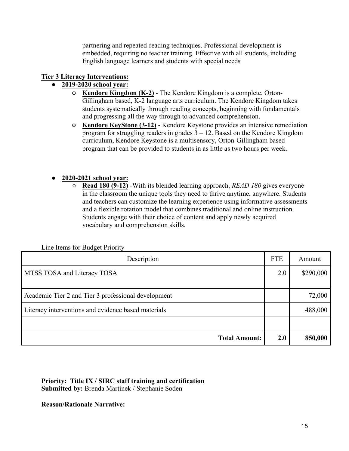partnering and repeated-reading techniques. Professional development is embedded, requiring no teacher training. Effective with all students, including English language learners and students with special needs

## **Tier 3 Literacy Interventions:**

## ● **2019-2020 school year:**

- **Kendore Kingdom (K-2)** The Kendore Kingdom is a complete, Orton-Gillingham based, K-2 language arts curriculum. The Kendore Kingdom takes students systematically through reading concepts, beginning with fundamentals and progressing all the way through to advanced comprehension.
- **Kendore KeyStone (3-12)** Kendore Keystone provides an intensive remediation program for struggling readers in grades  $3 - 12$ . Based on the Kendore Kingdom curriculum, Kendore Keystone is a multisensory, Orton-Gillingham based program that can be provided to students in as little as two hours per week.

## ● **2020-2021 school year:**

○ **Read 180 (9-12)** -With its blended learning approach, *READ 180* gives everyone in the classroom the unique tools they need to thrive anytime, anywhere. Students and teachers can customize the learning experience using informative assessments and a flexible rotation model that combines traditional and online instruction. Students engage with their choice of content and apply newly acquired vocabulary and comprehension skills.

| Description                                         | <b>FTE</b> | Amount    |
|-----------------------------------------------------|------------|-----------|
| MTSS TOSA and Literacy TOSA                         | 2.0        | \$290,000 |
| Academic Tier 2 and Tier 3 professional development |            | 72,000    |
| Literacy interventions and evidence based materials |            | 488,000   |
|                                                     |            |           |
| <b>Total Amount:</b>                                | 2.0        | 850,000   |

Line Items for Budget Priority

**Priority: Title IX / SIRC staff training and certification Submitted by:** Brenda Martinek / Stephanie Soden

**Reason/Rationale Narrative:**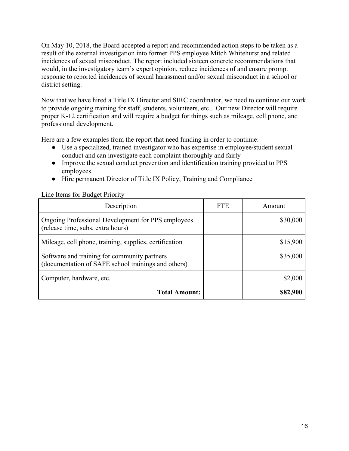On May 10, 2018, the Board accepted a report and recommended action steps to be taken as a result of the external investigation into former PPS employee Mitch Whitehurst and related incidences of sexual misconduct. The report included sixteen concrete recommendations that would, in the investigatory team's expert opinion, reduce incidences of and ensure prompt response to reported incidences of sexual harassment and/or sexual misconduct in a school or district setting.

Now that we have hired a Title IX Director and SIRC coordinator, we need to continue our work to provide ongoing training for staff, students, volunteers, etc.. Our new Director will require proper K-12 certification and will require a budget for things such as mileage, cell phone, and professional development.

Here are a few examples from the report that need funding in order to continue:

- Use a specialized, trained investigator who has expertise in employee/student sexual conduct and can investigate each complaint thoroughly and fairly
- Improve the sexual conduct prevention and identification training provided to PPS employees
- Hire permanent Director of Title IX Policy, Training and Compliance

| Line Items for Budget Priority |  |
|--------------------------------|--|
|--------------------------------|--|

| Description                                                                                         | <b>FTE</b> | Amount   |
|-----------------------------------------------------------------------------------------------------|------------|----------|
| Ongoing Professional Development for PPS employees<br>(release time, subs, extra hours)             |            | \$30,000 |
| Mileage, cell phone, training, supplies, certification                                              |            | \$15,900 |
| Software and training for community partners<br>(documentation of SAFE school trainings and others) |            | \$35,000 |
| Computer, hardware, etc.                                                                            |            | \$2,000  |
| <b>Total Amount:</b>                                                                                |            | \$82,900 |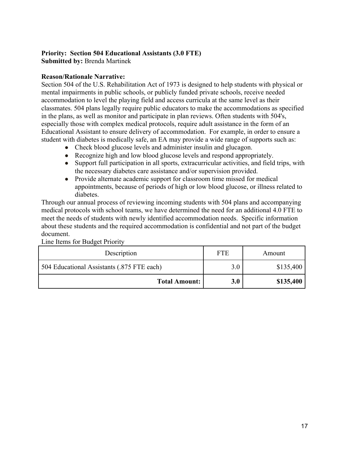# **Priority: Section 504 Educational Assistants (3.0 FTE)**

**Submitted by:** Brenda Martinek

## **Reason/Rationale Narrative:**

Section 504 of the U.S. Rehabilitation Act of 1973 is designed to help students with physical or mental impairments in public schools, or publicly funded private schools, receive needed accommodation to level the playing field and access curricula at the same level as their classmates. 504 plans legally require public educators to make the accommodations as specified in the plans, as well as monitor and participate in plan reviews. Often students with 504's, especially those with complex medical protocols, require adult assistance in the form of an Educational Assistant to ensure delivery of accommodation. For example, in order to ensure a student with diabetes is medically safe, an EA may provide a wide range of supports such as:

- Check blood glucose levels and administer insulin and glucagon.
- Recognize high and low blood glucose levels and respond appropriately.
- Support full participation in all sports, extracurricular activities, and field trips, with the necessary diabetes care assistance and/or supervision provided.
- Provide alternate academic support for classroom time missed for medical appointments, because of periods of high or low blood glucose, or illness related to diabetes.

Through our annual process of reviewing incoming students with 504 plans and accompanying medical protocols with school teams, we have determined the need for an additional 4.0 FTE to meet the needs of students with newly identified accommodation needs. Specific information about these students and the required accommodation is confidential and not part of the budget document.

| Description                                | <b>FTE</b> | Amount    |
|--------------------------------------------|------------|-----------|
| 504 Educational Assistants (.875 FTE each) | 3.0        | \$135,400 |
| <b>Total Amount:</b>                       | 3.0        | \$135,400 |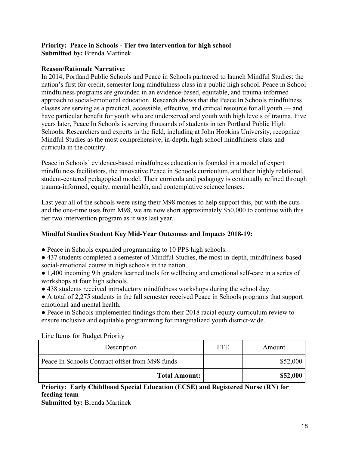#### **Priority: Peace in Schools - Tier two intervention for high school Submitted by:** Brenda Martinek

#### **Reason/Rationale Narrative:**

In 2014, Portland Public Schools and Peace in Schools partnered to launch Mindful Studies: the nation's first for-credit, semester long mindfulness class in a public high school. Peace in School mindfulness programs are grounded in an evidence-based, equitable, and trauma-informed approach to social-emotional education. Research shows that the Peace In Schools mindfulness classes are serving as a practical, accessible, effective, and critical resource for all youth — and have particular benefit for youth who are underserved and youth with high levels of trauma. Five years later, Peace In Schools is serving thousands of students in ten Portland Public High Schools. Researchers and experts in the field, including at John Hopkins University, recognize Mindful Studies as the most comprehensive, in-depth, high school mindfulness class and curricula in the country.

Peace in Schools' evidence-based mindfulness education is founded in a model of expert mindfulness facilitators, the innovative Peace in Schools curriculum, and their highly relational, student-centered pedagogical model. Their curricula and pedagogy is continually refined through trauma-informed, equity, mental health, and contemplative science lenses.

Last year all of the schools were using their M98 monies to help support this, but with the cuts and the one-time uses from M98, we are now short approximately \$50,000 to continue with this tier two intervention program as it was last year.

## **Mindful Studies Student Key Mid-Year Outcomes and Impacts 2018-19:**

- Peace in Schools expanded programming to 10 PPS high schools.
- 437 students completed a semester of Mindful Studies, the most in-depth, mindfulness-based social-emotional course in high schools in the nation.
- 1,400 incoming 9th graders learned tools for wellbeing and emotional self-care in a series of workshops at four high schools.
- 438 students received introductory mindfulness workshops during the school day.
- A total of 2,275 students in the fall semester received Peace in Schools programs that support emotional and mental health.

● Peace in Schools implemented findings from their 2018 racial equity curriculum review to ensure inclusive and equitable programming for marginalized youth district-wide.

| Line items for Budget Priority                  |            |          |
|-------------------------------------------------|------------|----------|
| Description                                     | <b>FTE</b> | Amount   |
| Peace In Schools Contract offset from M98 funds |            | \$52,000 |
|                                                 |            |          |

Line Items for Budget Priority

**Priority: Early Childhood Special Education (ECSE) and Registered Nurse (RN) for feeding team**

**Submitted by:** Brenda Martinek

**Total Amount: \$52,000**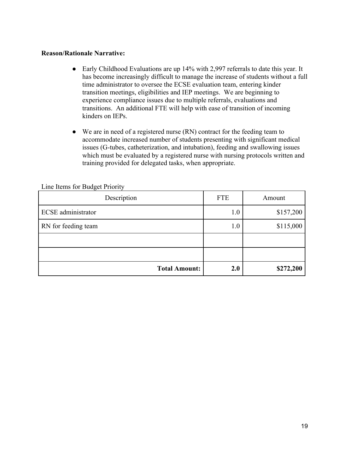#### **Reason/Rationale Narrative:**

- Early Childhood Evaluations are up 14% with 2,997 referrals to date this year. It has become increasingly difficult to manage the increase of students without a full time administrator to oversee the ECSE evaluation team, entering kinder transition meetings, eligibilities and IEP meetings. We are beginning to experience compliance issues due to multiple referrals, evaluations and transitions. An additional FTE will help with ease of transition of incoming kinders on IEPs.
- We are in need of a registered nurse (RN) contract for the feeding team to accommodate increased number of students presenting with significant medical issues (G-tubes, catheterization, and intubation), feeding and swallowing issues which must be evaluated by a registered nurse with nursing protocols written and training provided for delegated tasks, when appropriate.

| $\sum_{i=1}^{n}$          |            |           |
|---------------------------|------------|-----------|
| Description               | <b>FTE</b> | Amount    |
| <b>ECSE</b> administrator | 1.0        | \$157,200 |
| RN for feeding team       | 1.0        | \$115,000 |
|                           |            |           |
|                           |            |           |
| <b>Total Amount:</b>      | 2.0        | \$272,200 |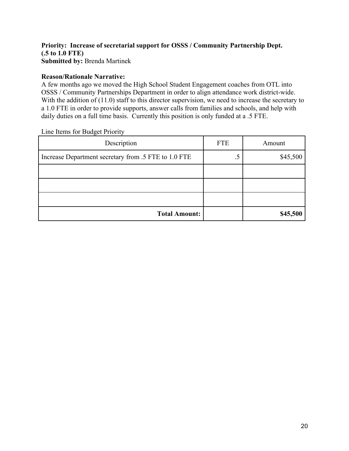## **Priority: Increase of secretarial support for OSSS / Community Partnership Dept. (.5 to 1.0 FTE) Submitted by:** Brenda Martinek

#### **Reason/Rationale Narrative:**

A few months ago we moved the High School Student Engagement coaches from OTL into OSSS / Community Partnerships Department in order to align attendance work district-wide. With the addition of (11.0) staff to this director supervision, we need to increase the secretary to a 1.0 FTE in order to provide supports, answer calls from families and schools, and help with daily duties on a full time basis. Currently this position is only funded at a .5 FTE.

| $\sum_{i=1}^{n}$                                     |            |          |
|------------------------------------------------------|------------|----------|
| Description                                          | <b>FTE</b> | Amount   |
| Increase Department secretary from .5 FTE to 1.0 FTE | .5         | \$45,500 |
|                                                      |            |          |
|                                                      |            |          |
|                                                      |            |          |
| <b>Total Amount:</b>                                 |            | \$45,500 |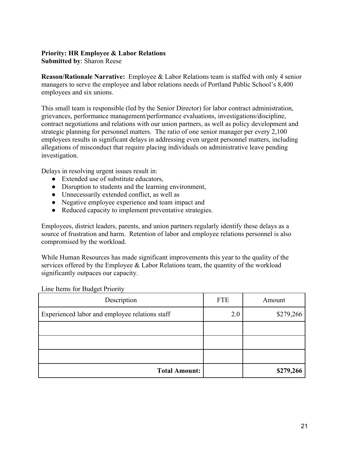## **Priority: HR Employee & Labor Relations**

**Submitted by**: Sharon Reese

**Reason/Rationale Narrative:** Employee & Labor Relations team is staffed with only 4 senior managers to serve the employee and labor relations needs of Portland Public School's 8,400 employees and six unions.

This small team is responsible (led by the Senior Director) for labor contract administration, grievances, performance management/performance evaluations, investigations/discipline, contract negotiations and relations with our union partners, as well as policy development and strategic planning for personnel matters. The ratio of one senior manager per every 2,100 employees results in significant delays in addressing even urgent personnel matters, including allegations of misconduct that require placing individuals on administrative leave pending investigation.

Delays in resolving urgent issues result in:

- Extended use of substitute educators,
- Disruption to students and the learning environment,
- Unnecessarily extended conflict, as well as
- Negative employee experience and team impact and
- Reduced capacity to implement preventative strategies.

Employees, district leaders, parents, and union partners regularly identify these delays as a source of frustration and harm. Retention of labor and employee relations personnel is also compromised by the workload.

While Human Resources has made significant improvements this year to the quality of the services offered by the Employee & Labor Relations team, the quantity of the workload significantly outpaces our capacity.

| Description                                    | <b>FTE</b> | Amount    |
|------------------------------------------------|------------|-----------|
| Experienced labor and employee relations staff | 2.0        | \$279,266 |
|                                                |            |           |
|                                                |            |           |
|                                                |            |           |
| <b>Total Amount:</b>                           |            | \$279,266 |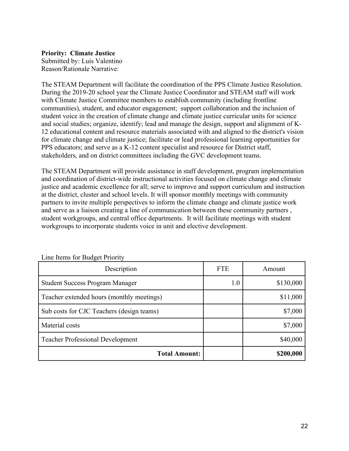#### **Priority: Climate Justice**

Submitted by: Luis Valentino Reason/Rationale Narrative:

The STEAM Department will facilitate the coordination of the PPS Climate Justice Resolution. During the 2019-20 school year the Climate Justice Coordinator and STEAM staff will work with Climate Justice Committee members to establish community (including frontline communities), student, and educator engagement; support collaboration and the inclusion of student voice in the creation of climate change and climate justice curricular units for science and social studies; organize, identify; lead and manage the design, support and alignment of K-12 educational content and resource materials associated with and aligned to the district's vision for climate change and climate justice; facilitate or lead professional learning opportunities for PPS educators; and serve as a K-12 content specialist and resource for District staff, stakeholders, and on district committees including the GVC development teams.

The STEAM Department will provide assistance in staff development, program implementation and coordination of district-wide instructional activities focused on climate change and climate justice and academic excellence for all; serve to improve and support curriculum and instruction at the district, cluster and school levels. It will sponsor monthly meetings with community partners to invite multiple perspectives to inform the climate change and climate justice work and serve as a liaison creating a line of communication between these community partners , student workgroups, and central office departments. It will facilitate meetings with student workgroups to incorporate students voice in unit and elective development.

| Description                               | <b>FTE</b> | Amount    |
|-------------------------------------------|------------|-----------|
| <b>Student Success Program Manager</b>    | 1.0        | \$130,000 |
| Teacher extended hours (monthly meetings) |            | \$11,000  |
| Sub costs for CJC Teachers (design teams) |            | \$7,000   |
| Material costs                            |            | \$7,000   |
| <b>Teacher Professional Development</b>   |            | \$40,000  |
| <b>Total Amount:</b>                      |            | \$200,000 |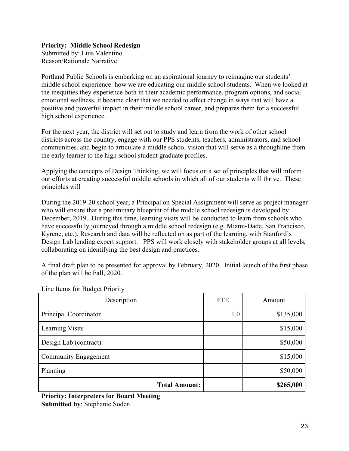## **Priority: Middle School Redesign**

Submitted by: Luis Valentino Reason/Rationale Narrative:

Portland Public Schools is embarking on an aspirational journey to reimagine our students' middle school experience. how we are educating our middle school students. When we looked at the inequities they experience both in their academic performance, program options, and social emotional wellness, it became clear that we needed to affect change in ways that will have a positive and powerful impact in their middle school career, and prepares them for a successful high school experience.

For the next year, the district will set out to study and learn from the work of other school districts across the country, engage with our PPS students, teachers, administrators, and school communities, and begin to articulate a middle school vision that will serve as a throughline from the early learner to the high school student graduate profiles.

Applying the concepts of Design Thinking, we will focus on a set of principles that will inform our efforts at creating successful middle schools in which all of our students will thrive. These principles will

During the 2019-20 school year, a Principal on Special Assignment will serve as project manager who will ensure that a preliminary blueprint of the middle school redesign is developed by December, 2019. During this time, learning visits will be conducted to learn from schools who have successfully journeyed through a middle school redesign (e.g. Miami-Dade, San Francisco, Kyrene, etc.). Research and data will be reflected on as part of the learning, with Stanford's Design Lab lending expert support. PPS will work closely with stakeholder groups at all levels, collaborating on identifying the best design and practices.

A final draft plan to be presented for approval by February, 2020. Initial launch of the first phase of the plan will be Fall, 2020.

| Description           | <b>FTE</b> | Amount    |
|-----------------------|------------|-----------|
| Principal Coordinator | 1.0        | \$135,000 |
| Learning Visits       |            | \$15,000  |
| Design Lab (contract) |            | \$50,000  |
| Community Engagement  |            | \$15,000  |
| Planning              |            | \$50,000  |
| <b>Total Amount:</b>  |            | \$265,000 |

Line Items for Budget Priority

**Priority: Interpreters for Board Meeting Submitted by**: Stephanie Soden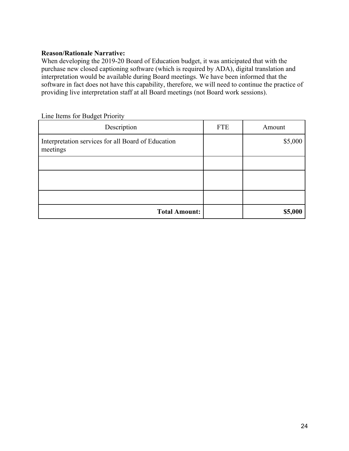#### **Reason/Rationale Narrative:**

When developing the 2019-20 Board of Education budget, it was anticipated that with the purchase new closed captioning software (which is required by ADA), digital translation and interpretation would be available during Board meetings. We have been informed that the software in fact does not have this capability, therefore, we will need to continue the practice of providing live interpretation staff at all Board meetings (not Board work sessions).

| Line Items for Budget Priority |  |
|--------------------------------|--|
|--------------------------------|--|

| Description                                                    | <b>FTE</b> | Amount  |
|----------------------------------------------------------------|------------|---------|
| Interpretation services for all Board of Education<br>meetings |            | \$5,000 |
|                                                                |            |         |
|                                                                |            |         |
|                                                                |            |         |
| <b>Total Amount:</b>                                           |            | \$5,000 |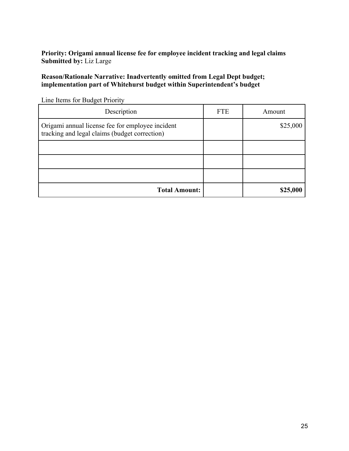**Priority: Origami annual license fee for employee incident tracking and legal claims Submitted by:** Liz Large

**Reason/Rationale Narrative: Inadvertently omitted from Legal Dept budget; implementation part of Whitehurst budget within Superintendent's budget**

| $\frac{1}{2}$                                                                                     |            |          |
|---------------------------------------------------------------------------------------------------|------------|----------|
| Description                                                                                       | <b>FTE</b> | Amount   |
| Origami annual license fee for employee incident<br>tracking and legal claims (budget correction) |            | \$25,000 |
|                                                                                                   |            |          |
|                                                                                                   |            |          |
|                                                                                                   |            |          |
| <b>Total Amount:</b>                                                                              |            | \$25,000 |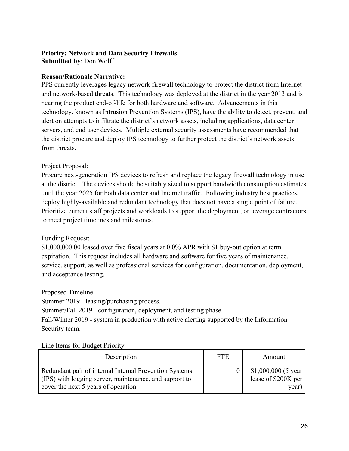#### **Priority: Network and Data Security Firewalls Submitted by**: Don Wolff

## **Reason/Rationale Narrative:**

PPS currently leverages legacy network firewall technology to protect the district from Internet and network-based threats. This technology was deployed at the district in the year 2013 and is nearing the product end-of-life for both hardware and software. Advancements in this technology, known as Intrusion Prevention Systems (IPS), have the ability to detect, prevent, and alert on attempts to infiltrate the district's network assets, including applications, data center servers, and end user devices. Multiple external security assessments have recommended that the district procure and deploy IPS technology to further protect the district's network assets from threats.

## Project Proposal:

Procure next-generation IPS devices to refresh and replace the legacy firewall technology in use at the district. The devices should be suitably sized to support bandwidth consumption estimates until the year 2025 for both data center and Internet traffic. Following industry best practices, deploy highly-available and redundant technology that does not have a single point of failure. Prioritize current staff projects and workloads to support the deployment, or leverage contractors to meet project timelines and milestones.

## Funding Request:

\$1,000,000.00 leased over five fiscal years at 0.0% APR with \$1 buy-out option at term expiration. This request includes all hardware and software for five years of maintenance, service, support, as well as professional services for configuration, documentation, deployment, and acceptance testing.

## Proposed Timeline:

Summer 2019 - leasing/purchasing process.

Summer/Fall 2019 - configuration, deployment, and testing phase.

Fall/Winter 2019 - system in production with active alerting supported by the Information Security team.

| Description                                                                                                                                              | <b>FTE</b> | Amount                                                |
|----------------------------------------------------------------------------------------------------------------------------------------------------------|------------|-------------------------------------------------------|
| Redundant pair of internal Internal Prevention Systems<br>(IPS) with logging server, maintenance, and support to<br>cover the next 5 years of operation. |            | $$1,000,000$ (5 year)<br>lease of \$200K per<br>year) |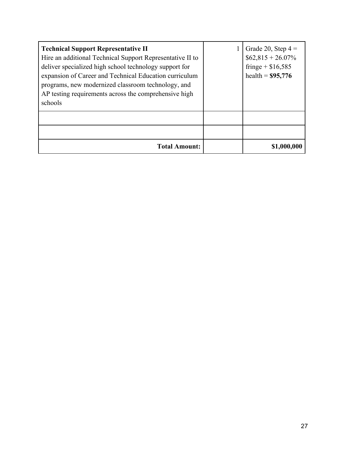| <b>Technical Support Representative II</b><br>Hire an additional Technical Support Representative II to<br>deliver specialized high school technology support for<br>expansion of Career and Technical Education curriculum<br>programs, new modernized classroom technology, and<br>AP testing requirements across the comprehensive high<br>schools | Grade 20, Step $4 =$<br>$$62,815 + 26.07\%$<br>fringe + $$16,585$<br>health = $$95,776$ |
|-------------------------------------------------------------------------------------------------------------------------------------------------------------------------------------------------------------------------------------------------------------------------------------------------------------------------------------------------------|-----------------------------------------------------------------------------------------|
|                                                                                                                                                                                                                                                                                                                                                       |                                                                                         |
| <b>Total Amount:</b>                                                                                                                                                                                                                                                                                                                                  |                                                                                         |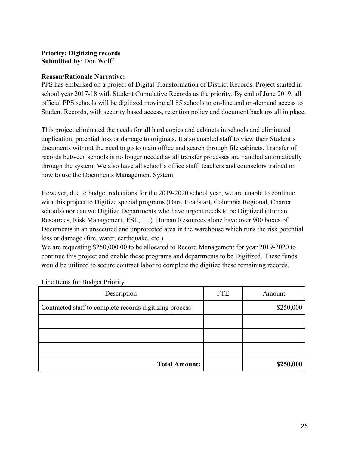## **Priority: Digitizing records Submitted by**: Don Wolff

## **Reason/Rationale Narrative:**

PPS has embarked on a project of Digital Transformation of District Records. Project started in school year 2017-18 with Student Cumulative Records as the priority. By end of June 2019, all official PPS schools will be digitized moving all 85 schools to on-line and on-demand access to Student Records, with security based access, retention policy and document backups all in place.

This project eliminated the needs for all hard copies and cabinets in schools and eliminated duplication, potential loss or damage to originals. It also enabled staff to view their Student's documents without the need to go to main office and search through file cabinets. Transfer of records between schools is no longer needed as all transfer processes are handled automatically through the system. We also have all school's office staff, teachers and counselors trained on how to use the Documents Management System.

However, due to budget reductions for the 2019-2020 school year, we are unable to continue with this project to Digitize special programs (Dart, Headstart, Columbia Regional, Charter schools) nor can we Digitize Departments who have urgent needs to be Digitized (Human Resources, Risk Management, ESL, ….). Human Resources alone have over 900 boxes of Documents in an unsecured and unprotected area in the warehouse which runs the risk potential loss or damage (fire, water, earthquake, etc.)

We are requesting \$250,000.00 to be allocated to Record Management for year 2019-2020 to continue this project and enable these programs and departments to be Digitized. These funds would be utilized to secure contract labor to complete the digitize these remaining records.

| Description                                             | <b>FTE</b> | Amount    |
|---------------------------------------------------------|------------|-----------|
| Contracted staff to complete records digitizing process |            | \$250,000 |
|                                                         |            |           |
|                                                         |            |           |
|                                                         |            |           |
| <b>Total Amount:</b>                                    |            | \$250,000 |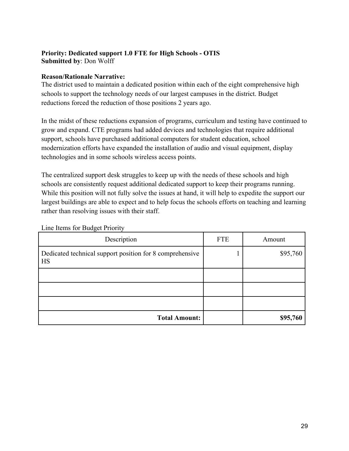## **Priority: Dedicated support 1.0 FTE for High Schools - OTIS Submitted by**: Don Wolff

## **Reason/Rationale Narrative:**

The district used to maintain a dedicated position within each of the eight comprehensive high schools to support the technology needs of our largest campuses in the district. Budget reductions forced the reduction of those positions 2 years ago.

In the midst of these reductions expansion of programs, curriculum and testing have continued to grow and expand. CTE programs had added devices and technologies that require additional support, schools have purchased additional computers for student education, school modernization efforts have expanded the installation of audio and visual equipment, display technologies and in some schools wireless access points.

The centralized support desk struggles to keep up with the needs of these schools and high schools are consistently request additional dedicated support to keep their programs running. While this position will not fully solve the issues at hand, it will help to expedite the support our largest buildings are able to expect and to help focus the schools efforts on teaching and learning rather than resolving issues with their staff.

| Description                                                    | <b>FTE</b> | Amount   |
|----------------------------------------------------------------|------------|----------|
| Dedicated technical support position for 8 comprehensive<br>HS |            | \$95,760 |
|                                                                |            |          |
|                                                                |            |          |
|                                                                |            |          |
| <b>Total Amount:</b>                                           |            | \$95,760 |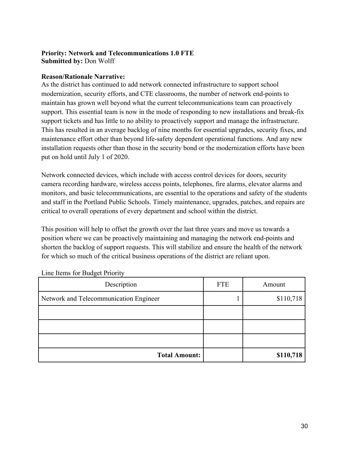## **Priority: Network and Telecommunications 1.0 FTE Submitted by:** Don Wolff

## **Reason/Rationale Narrative:**

As the district has continued to add network connected infrastructure to support school modernization, security efforts, and CTE classrooms, the number of network end-points to maintain has grown well beyond what the current telecommunications team can proactively support. This essential team is now in the mode of responding to new installations and break-fix support tickets and has little to no ability to proactively support and manage the infrastructure. This has resulted in an average backlog of nine months for essential upgrades, security fixes, and maintenance effort other than beyond life-safety dependent operational functions. And any new installation requests other than those in the security bond or the modernization efforts have been put on hold until July 1 of 2020.

Network connected devices, which include with access control devices for doors, security camera recording hardware, wireless access points, telephones, fire alarms, elevator alarms and monitors, and basic telecommunications, are essential to the operations and safety of the students and staff in the Portland Public Schools. Timely maintenance, upgrades, patches, and repairs are critical to overall operations of every department and school within the district.

This position will help to offset the growth over the last three years and move us towards a position where we can be proactively maintaining and managing the network end-points and shorten the backlog of support requests. This will stabilize and ensure the health of the network for which so much of the critical business operations of the district are reliant upon.

| Description                            | <b>FTE</b> | Amount    |
|----------------------------------------|------------|-----------|
| Network and Telecommunication Engineer |            | \$110,718 |
|                                        |            |           |
|                                        |            |           |
|                                        |            |           |
| <b>Total Amount:</b>                   |            | \$110,718 |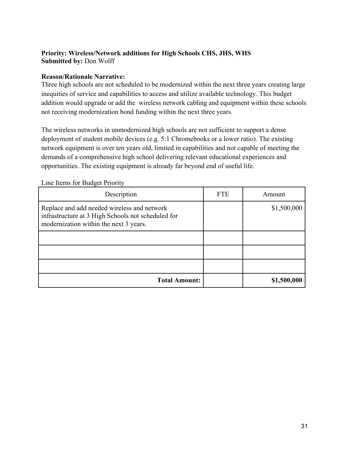## **Priority: Wireless/Network additions for High Schools CHS, JHS, WHS Submitted by:** Don Wolff

## **Reason/Rationale Narrative:**

Three high schools are not scheduled to be modernized within the next three years creating large inequities of service and capabilities to access and utilize available technology. This budget addition would upgrade or add the wireless network cabling and equipment within these schools not receiving modernization bond funding within the next three years.

The wireless networks in unmodernized high schools are not sufficient to support a dense deployment of student mobile devices (e.g. 5:1 Chromebooks or a lower ratio). The existing network equipment is over ten years old, limited in capabilities and not capable of meeting the demands of a comprehensive high school delivering relevant educational experiences and opportunities. The existing equipment is already far beyond end of useful life.

| Description                                                                                                                                 | <b>FTE</b> | Amount      |
|---------------------------------------------------------------------------------------------------------------------------------------------|------------|-------------|
| Replace and add needed wireless and network<br>infrastructure at 3 High Schools not scheduled for<br>modernization within the next 3 years. |            | \$1,500,000 |
|                                                                                                                                             |            |             |
|                                                                                                                                             |            |             |
|                                                                                                                                             |            |             |
| <b>Total Amount:</b>                                                                                                                        |            | \$1,500,000 |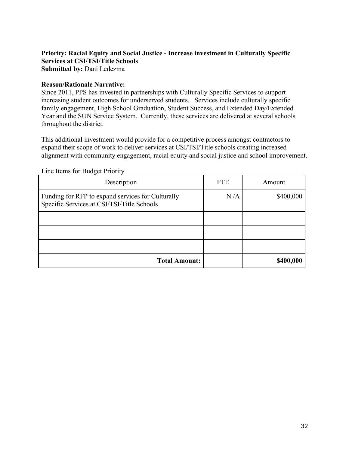#### **Priority: Racial Equity and Social Justice - Increase investment in Culturally Specific Services at CSI/TSI/Title Schools Submitted by:** Dani Ledezma

#### **Reason/Rationale Narrative:**

Since 2011, PPS has invested in partnerships with Culturally Specific Services to support increasing student outcomes for underserved students. Services include culturally specific family engagement, High School Graduation, Student Success, and Extended Day/Extended Year and the SUN Service System. Currently, these services are delivered at several schools throughout the district.

This additional investment would provide for a competitive process amongst contractors to expand their scope of work to deliver services at CSI/TSI/Title schools creating increased alignment with community engagement, racial equity and social justice and school improvement.

| Description                                                                                     | <b>FTE</b> | Amount    |
|-------------------------------------------------------------------------------------------------|------------|-----------|
| Funding for RFP to expand services for Culturally<br>Specific Services at CSI/TSI/Title Schools | N/A        | \$400,000 |
|                                                                                                 |            |           |
|                                                                                                 |            |           |
|                                                                                                 |            |           |
| <b>Total Amount:</b>                                                                            |            | \$400,000 |